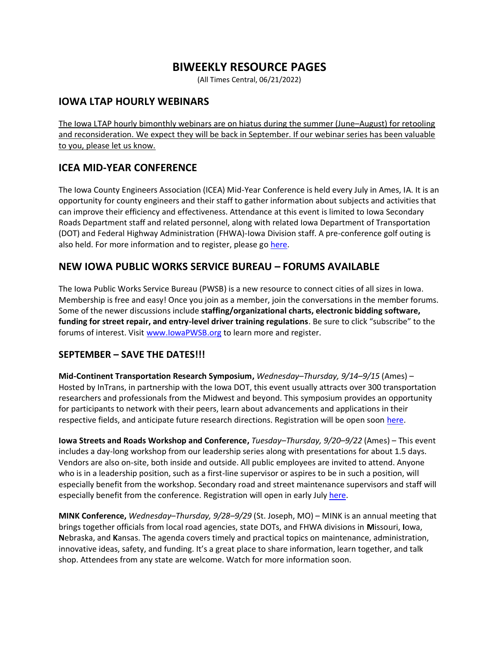# **BIWEEKLY RESOURCE PAGES**

(All Times Central, 06/21/2022)

### **IOWA LTAP HOURLY WEBINARS**

The Iowa LTAP hourly bimonthly webinars are on hiatus during the summer (June–August) for retooling and reconsideration. We expect they will be back in September. If our webinar series has been valuable to you, please let us know.

# **ICEA MID-YEAR CONFERENCE**

The Iowa County Engineers Association (ICEA) Mid-Year Conference is held every July in Ames, IA. It is an opportunity for county engineers and their staff to gather information about subjects and activities that can improve their efficiency and effectiveness. Attendance at this event is limited to Iowa Secondary Roads Department staff and related personnel, along with related Iowa Department of Transportation (DOT) and Federal Highway Administration (FHWA)-Iowa Division staff. A pre-conference golf outing is also held. For more information and to register, please go [here.](https://iowaltap.iastate.edu/events/2022-icea-mid-year/)

## **NEW IOWA PUBLIC WORKS SERVICE BUREAU – FORUMS AVAILABLE**

The Iowa Public Works Service Bureau (PWSB) is a new resource to connect cities of all sizes in Iowa. Membership is free and easy! Once you join as a member, join the conversations in the member forums. Some of the newer discussions include **staffing/organizational charts, electronic bidding software, funding for street repair, and entry-level driver training regulations**. Be sure to click "subscribe" to the forums of interest. Visit [www.IowaPWSB.org](http://www.iowapwsb.org/) to learn more and register.

#### **SEPTEMBER – SAVE THE DATES!!!**

**Mid-Continent Transportation Research Symposium,** *Wednesday–Thursday, 9/14–9/15* (Ames) – Hosted by InTrans, in partnership with the Iowa DOT, this event usually attracts over 300 transportation researchers and professionals from the Midwest and beyond. This symposium provides an opportunity for participants to network with their peers, learn about advancements and applications in their respective fields, and anticipate future research directions. Registration will be open soon [here.](https://ctre.iastate.edu/events/midcon2022/)

**Iowa Streets and Roads Workshop and Conference,** *Tuesday–Thursday, 9/20–9/22* (Ames) – This event includes a day-long workshop from our leadership series along with presentations for about 1.5 days. Vendors are also on-site, both inside and outside. All public employees are invited to attend. Anyone who is in a leadership position, such as a first-line supervisor or aspires to be in such a position, will especially benefit from the workshop. Secondary road and street maintenance supervisors and staff will especially benefit from the conference. Registration will open in early July [here.](https://iowaltap.iastate.edu/streets-and-roads/)

**MINK Conference,** *Wednesday–Thursday, 9/28–9/29* (St. Joseph, MO) – MINK is an annual meeting that brings together officials from local road agencies, state DOTs, and FHWA divisions in **M**issouri, **I**owa, **N**ebraska, and **K**ansas. The agenda covers timely and practical topics on maintenance, administration, innovative ideas, safety, and funding. It's a great place to share information, learn together, and talk shop. Attendees from any state are welcome. Watch for more information soon.